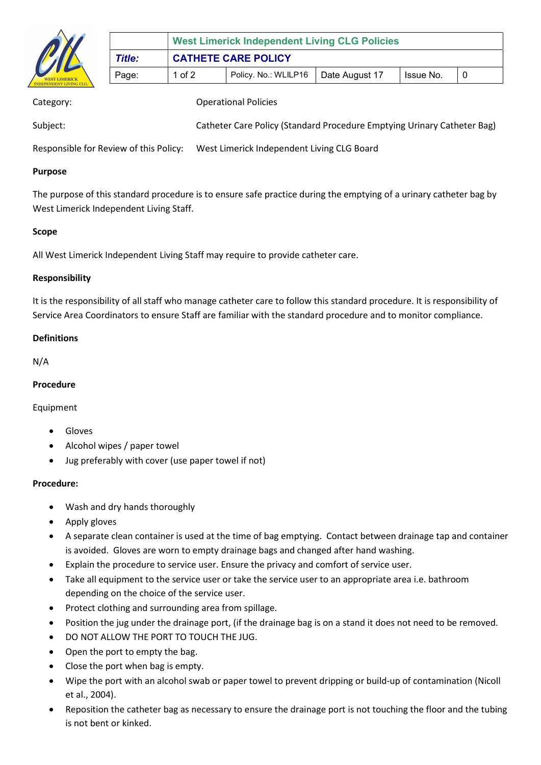

|        | <b>West Limerick Independent Living CLG Policies</b> |                      |                |           |  |
|--------|------------------------------------------------------|----------------------|----------------|-----------|--|
| Title: | <b>CATHETE CARE POLICY</b>                           |                      |                |           |  |
| Page:  | 1 of $2$                                             | Policy. No.: WLILP16 | Date August 17 | Issue No. |  |

| Category:                              | <b>Operational Policies</b>                                             |
|----------------------------------------|-------------------------------------------------------------------------|
| Subject:                               | Catheter Care Policy (Standard Procedure Emptying Urinary Catheter Bag) |
| Responsible for Review of this Policy: | West Limerick Independent Living CLG Board                              |

#### Purpose

The purpose of this standard procedure is to ensure safe practice during the emptying of a urinary catheter bag by West Limerick Independent Living Staff.

### Scope

All West Limerick Independent Living Staff may require to provide catheter care.

### Responsibility

It is the responsibility of all staff who manage catheter care to follow this standard procedure. It is responsibility of Service Area Coordinators to ensure Staff are familiar with the standard procedure and to monitor compliance.

## Definitions

N/A

#### Procedure

#### Equipment

- Gloves
- Alcohol wipes / paper towel
- Jug preferably with cover (use paper towel if not)

#### Procedure:

- Wash and dry hands thoroughly
- Apply gloves
- A separate clean container is used at the time of bag emptying. Contact between drainage tap and container is avoided. Gloves are worn to empty drainage bags and changed after hand washing.
- Explain the procedure to service user. Ensure the privacy and comfort of service user.
- Take all equipment to the service user or take the service user to an appropriate area i.e. bathroom depending on the choice of the service user.
- Protect clothing and surrounding area from spillage.
- Position the jug under the drainage port, (if the drainage bag is on a stand it does not need to be removed.
- DO NOT ALLOW THE PORT TO TOUCH THE JUG.
- Open the port to empty the bag.
- Close the port when bag is empty.
- Wipe the port with an alcohol swab or paper towel to prevent dripping or build-up of contamination (Nicoll et al., 2004).
- Reposition the catheter bag as necessary to ensure the drainage port is not touching the floor and the tubing is not bent or kinked.